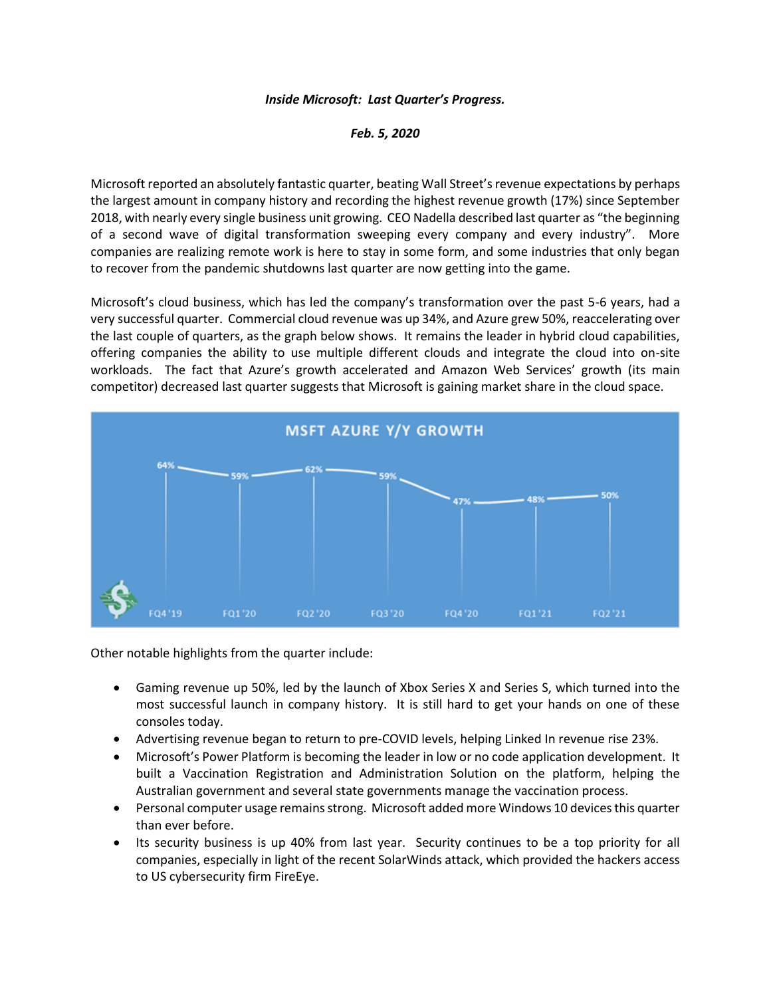## *Inside Microsoft: Last Quarter's Progress.*

*Feb. 5, 2020*

Microsoft reported an absolutely fantastic quarter, beating Wall Street's revenue expectations by perhaps the largest amount in company history and recording the highest revenue growth (17%) since September 2018, with nearly every single business unit growing. CEO Nadella described last quarter as "the beginning of a second wave of digital transformation sweeping every company and every industry". More companies are realizing remote work is here to stay in some form, and some industries that only began to recover from the pandemic shutdowns last quarter are now getting into the game.

Microsoft's cloud business, which has led the company's transformation over the past 5-6 years, had a very successful quarter. Commercial cloud revenue was up 34%, and Azure grew 50%, reaccelerating over the last couple of quarters, as the graph below shows. It remains the leader in hybrid cloud capabilities, offering companies the ability to use multiple different clouds and integrate the cloud into on-site workloads. The fact that Azure's growth accelerated and Amazon Web Services' growth (its main competitor) decreased last quarter suggests that Microsoft is gaining market share in the cloud space.



Other notable highlights from the quarter include:

- Gaming revenue up 50%, led by the launch of Xbox Series X and Series S, which turned into the most successful launch in company history. It is still hard to get your hands on one of these consoles today.
- Advertising revenue began to return to pre-COVID levels, helping Linked In revenue rise 23%.
- Microsoft's Power Platform is becoming the leader in low or no code application development. It built a Vaccination Registration and Administration Solution on the platform, helping the Australian government and several state governments manage the vaccination process.
- Personal computer usage remains strong. Microsoft added more Windows 10 devices this quarter than ever before.
- Its security business is up 40% from last year. Security continues to be a top priority for all companies, especially in light of the recent SolarWinds attack, which provided the hackers access to US cybersecurity firm FireEye.